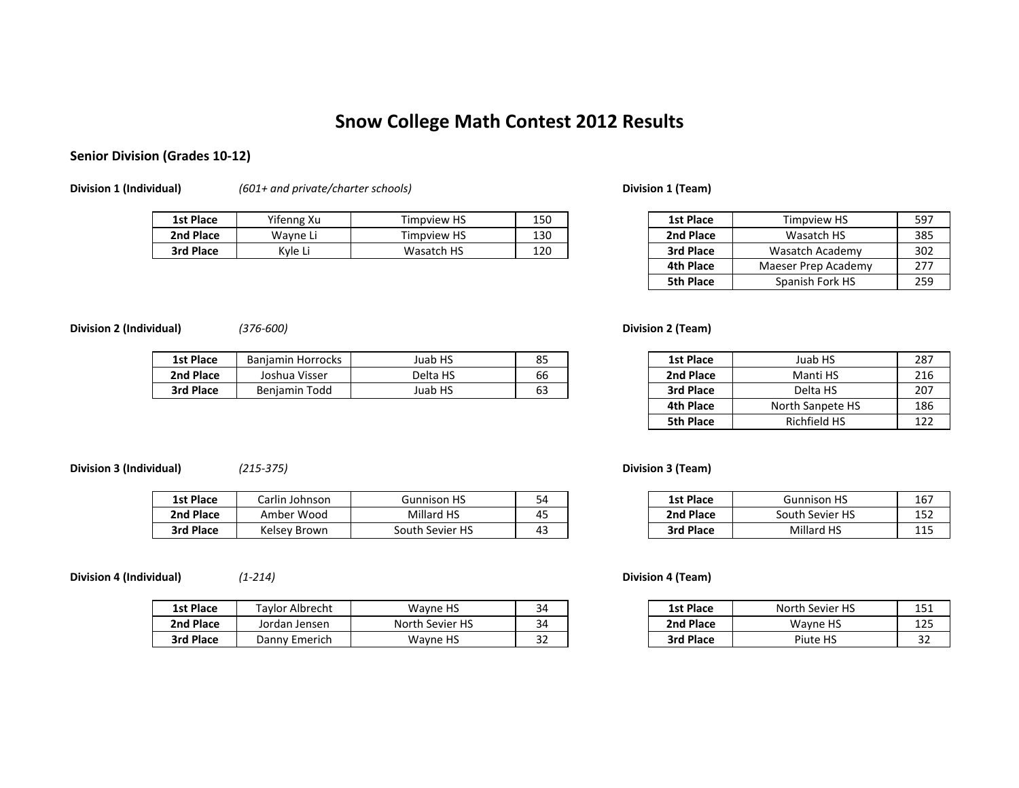# **Snow College Math Contest 2012 Results**

## **Senior Division (Grades 10‐12)**

**Division 1 (Individual)** *(601+ and private/charter schools)* **Division 1 (Team)**

| <b>1st Place</b> | Yifenng Xu | <b>Timpview HS</b> | 150 | 1st Place | <b>Timpview HS</b> | 597 |
|------------------|------------|--------------------|-----|-----------|--------------------|-----|
| 2nd Place        | Wayne L.   | Timpview HS        | 130 | 2nd Place | Wasatch HS         | 385 |
| 3rd Place        | Kyle L.    | Wasatch HS         | 120 | 3rd Place | Wasatch<br>Academy | 302 |

| 1st Place        | <b>Timpview HS</b>  |     |
|------------------|---------------------|-----|
| 2nd Place        | Wasatch HS          | 385 |
| 3rd Place        | Wasatch Academy     | 302 |
| <b>4th Place</b> | Maeser Prep Academy | 277 |
| <b>5th Place</b> | Spanish Fork HS     | 259 |

## **Division 2 (Individual)** *(376‐600)* **Division 2 (Team)**

| 1st Place | <b>Horrocks</b><br>Baniamin | HS<br>Juab   | oг<br>ᇰ      | <b>1st Place</b> | Juab HS                  | 287 |
|-----------|-----------------------------|--------------|--------------|------------------|--------------------------|-----|
| 2nd Place | Joshua Visser               | Delta HS     | $\sim$<br>bb | 2nd Place        | Manti HS                 | 216 |
| 3rd Place | Todd<br><b>Benjamin</b>     | HS<br>Juab I | --<br>ხა     | 3rd Place        | Delta HS<br>$\mathbf{r}$ | 207 |

| 5 | <b>1st Place</b> | Juab HS          | 287 |
|---|------------------|------------------|-----|
| 6 | 2nd Place        | Manti HS         | 216 |
| 3 | 3rd Place        | Delta HS         | 207 |
|   | 4th Place        | North Sanpete HS | 186 |
|   | 5th Place        | Richfield HS     | 122 |

## **Division 3 (Individual)** *(215‐375)* **Division 3 (Team)**

| 1st Place | Larlin<br>า Johnson | <b>Gunnison HS</b>    |                               | <b>1st Place</b> | Gunnison HS       | 167        |
|-----------|---------------------|-----------------------|-------------------------------|------------------|-------------------|------------|
| 2nd Place | Amber Wood          | Millard HS            | ∕ ⊏<br>т.,                    | 2nd Place        | South Sevier HS   | 152        |
| 3rd Place | Kelsey Brown        | Sevier HS ا<br>outh ' | $\sim$<br>$\mathbf{u}$<br>т., | 3rd Place        | <b>Millard HS</b> | 11 F<br>ᆂᆂ |

**Division 4 (Individual)** *(1‐214)* **Division 4 (Team)**

| 1st Place | Taylor Albrecht | Wavne HS        | $\mathcal{L}$<br>- 14<br>- | <b>1st Place</b> | North Sevier HS | 151<br>⊥J⊥    |
|-----------|-----------------|-----------------|----------------------------|------------------|-----------------|---------------|
| 2nd Place | Jordan Jensen   | North Sevier HS | $\mathcal{L}$<br>34        | 2nd Place        | Wavne HS        | 1つロ<br>ᅭᆇᆚ    |
| 3rd Place | Danny Emerich   | Wayne HS        | $\sim$<br>ےر               | 3rd Place        | Piute HS        | $\sim$<br>ے ت |

| οn | Gunnison HS     | 54 | 1st Place | <b>Gunnison HS</b> | 167         |
|----|-----------------|----|-----------|--------------------|-------------|
| u  | Millard HS      | 45 | 2nd Place | South Sevier HS    | 152         |
| n  | South Sevier HS | 43 | 3rd Place | Millard HS         | 11 E<br>112 |

| ٦t        | Wayne HS        | 34 | 1st Place | North Sevier HS | 1 C 1<br>ᅩ고 |
|-----------|-----------------|----|-----------|-----------------|-------------|
|           | North Sevier HS | 34 | 2nd Place | Wavne HS        | 125         |
| h<br>ا ا۔ | Wayne HS        | ےر | 3rd Place | Piute HS        | ےر          |